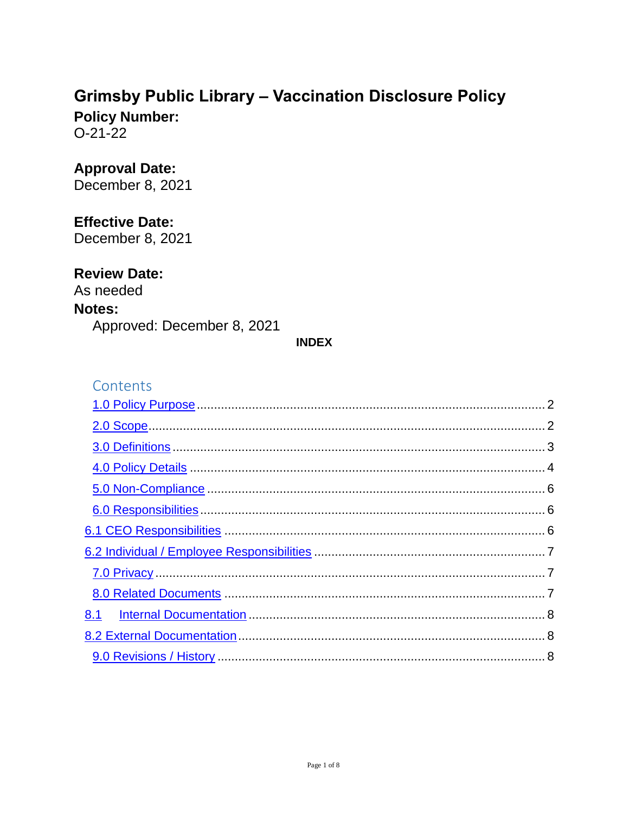# **Grimsby Public Library - Vaccination Disclosure Policy**

**Policy Number:**  $O-21-22$ 

### **Approval Date:**

December 8, 2021

### **Effective Date:**

December 8, 2021

### **Review Date:**

As needed Notes: Approved: December 8, 2021

#### **INDEX**

### Contents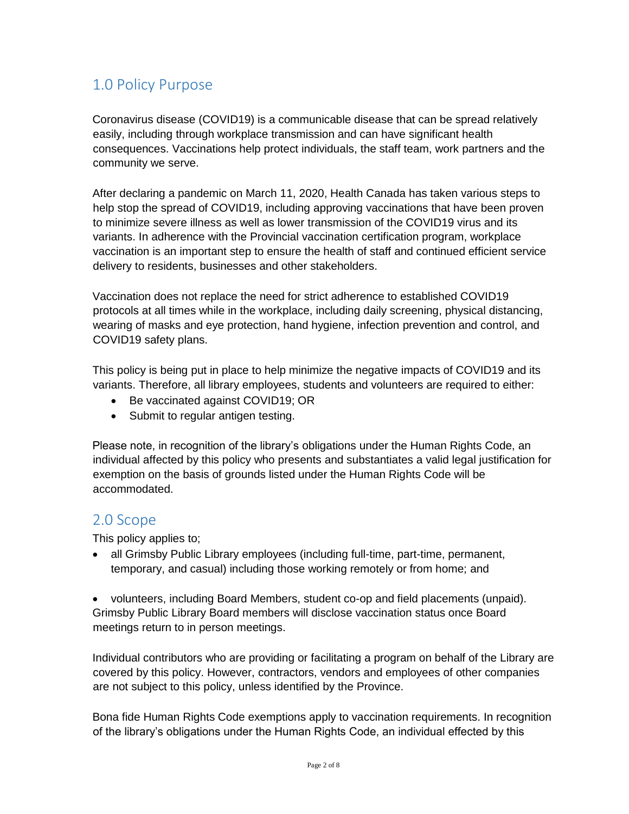## <span id="page-1-0"></span>1.0 Policy Purpose

 Coronavirus disease (COVID19) is a communicable disease that can be spread relatively easily, including through workplace transmission and can have significant health consequences. Vaccinations help protect individuals, the staff team, work partners and the community we serve.

 After declaring a pandemic on March 11, 2020, Health Canada has taken various steps to help stop the spread of COVID19, including approving vaccinations that have been proven to minimize severe illness as well as lower transmission of the COVID19 virus and its variants. In adherence with the Provincial vaccination certification program, workplace vaccination is an important step to ensure the health of staff and continued efficient service delivery to residents, businesses and other stakeholders.

 Vaccination does not replace the need for strict adherence to established COVID19 protocols at all times while in the workplace, including daily screening, physical distancing, wearing of masks and eye protection, hand hygiene, infection prevention and control, and COVID19 safety plans.

 This policy is being put in place to help minimize the negative impacts of COVID19 and its variants. Therefore, all library employees, students and volunteers are required to either:

- Be vaccinated against COVID19; OR
- Submit to regular antigen testing.

 Please note, in recognition of the library's obligations under the Human Rights Code, an individual affected by this policy who presents and substantiates a valid legal justification for exemption on the basis of grounds listed under the Human Rights Code will be accommodated.

### <span id="page-1-1"></span>2.0 Scope

This policy applies to;

• all Grimsby Public Library employees (including full-time, part-time, permanent, temporary, and casual) including those working remotely or from home; and

 volunteers, including Board Members, student co-op and field placements (unpaid). Grimsby Public Library Board members will disclose vaccination status once Board meetings return to in person meetings.

 Individual contributors who are providing or facilitating a program on behalf of the Library are covered by this policy. However, contractors, vendors and employees of other companies are not subject to this policy, unless identified by the Province.

 Bona fide Human Rights Code exemptions apply to vaccination requirements. In recognition of the library's obligations under the Human Rights Code, an individual effected by this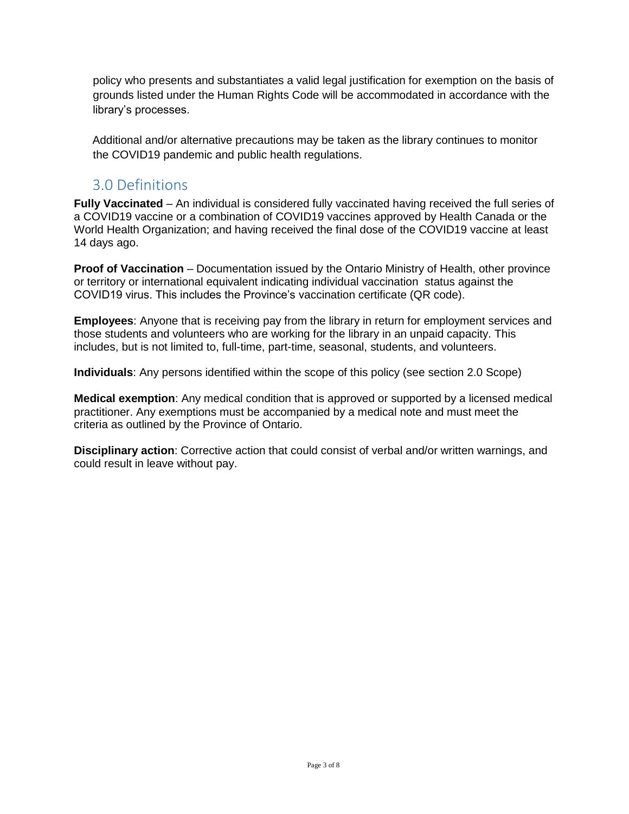policy who presents and substantiates a valid legal justification for exemption on the basis of grounds listed under the Human Rights Code will be accommodated in accordance with the library's processes.

 Additional and/or alternative precautions may be taken as the library continues to monitor the COVID19 pandemic and public health regulations.

## <span id="page-2-0"></span>3.0 Definitions

 **Fully Vaccinated** – An individual is considered fully vaccinated having received the full series of a COVID19 vaccine or a combination of COVID19 vaccines approved by Health Canada or the World Health Organization; and having received the final dose of the COVID19 vaccine at least 14 days ago.

 **Proof of Vaccination** – Documentation issued by the Ontario Ministry of Health, other province or territory or international equivalent indicating individual vaccination status against the COVID19 virus. This includes the Province's vaccination certificate (QR code).

 **Employees**: Anyone that is receiving pay from the library in return for employment services and those students and volunteers who are working for the library in an unpaid capacity. This includes, but is not limited to, full-time, part-time, seasonal, students, and volunteers.

**Individuals**: Any persons identified within the scope of this policy (see section 2.0 Scope)

 **Medical exemption**: Any medical condition that is approved or supported by a licensed medical practitioner. Any exemptions must be accompanied by a medical note and must meet the criteria as outlined by the Province of Ontario.

 **Disciplinary action**: Corrective action that could consist of verbal and/or written warnings, and could result in leave without pay.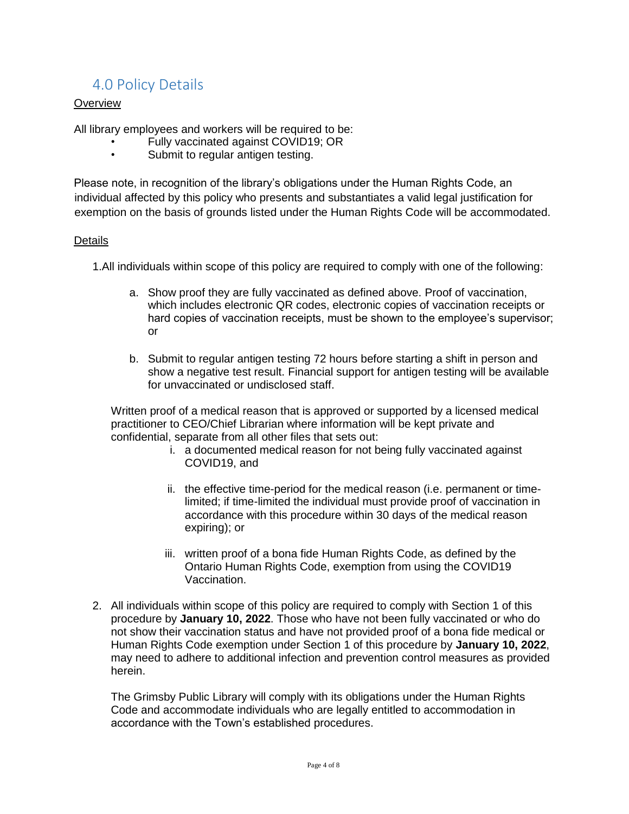## <span id="page-3-0"></span>4.0 Policy Details

#### **Overview**

All library employees and workers will be required to be:

- Fully vaccinated against COVID19; OR
- Submit to regular antigen testing.

 Please note, in recognition of the library's obligations under the Human Rights Code, an individual affected by this policy who presents and substantiates a valid legal justification for exemption on the basis of grounds listed under the Human Rights Code will be accommodated.

#### Details

1.All individuals within scope of this policy are required to comply with one of the following:

- a. Show proof they are fully vaccinated as defined above. Proof of vaccination, which includes electronic QR codes, electronic copies of vaccination receipts or hard copies of vaccination receipts, must be shown to the employee's supervisor; or
- b. Submit to regular antigen testing 72 hours before starting a shift in person and show a negative test result. Financial support for antigen testing will be available for unvaccinated or undisclosed staff.

 Written proof of a medical reason that is approved or supported by a licensed medical practitioner to CEO/Chief Librarian where information will be kept private and confidential, separate from all other files that sets out:

- i. a documented medical reason for not being fully vaccinated against COVID19, and
- ii. the effective time-period for the medical reason (i.e. permanent or time- limited; if time-limited the individual must provide proof of vaccination in accordance with this procedure within 30 days of the medical reason expiring); or
- iii. written proof of a bona fide Human Rights Code, as defined by the Ontario Human Rights Code, exemption from using the COVID19 Vaccination.
- 2. All individuals within scope of this policy are required to comply with Section 1 of this procedure by **January 10, 2022**. Those who have not been fully vaccinated or who do not show their vaccination status and have not provided proof of a bona fide medical or Human Rights Code exemption under Section 1 of this procedure by **January 10, 2022**, may need to adhere to additional infection and prevention control measures as provided herein.

 The Grimsby Public Library will comply with its obligations under the Human Rights Code and accommodate individuals who are legally entitled to accommodation in accordance with the Town's established procedures.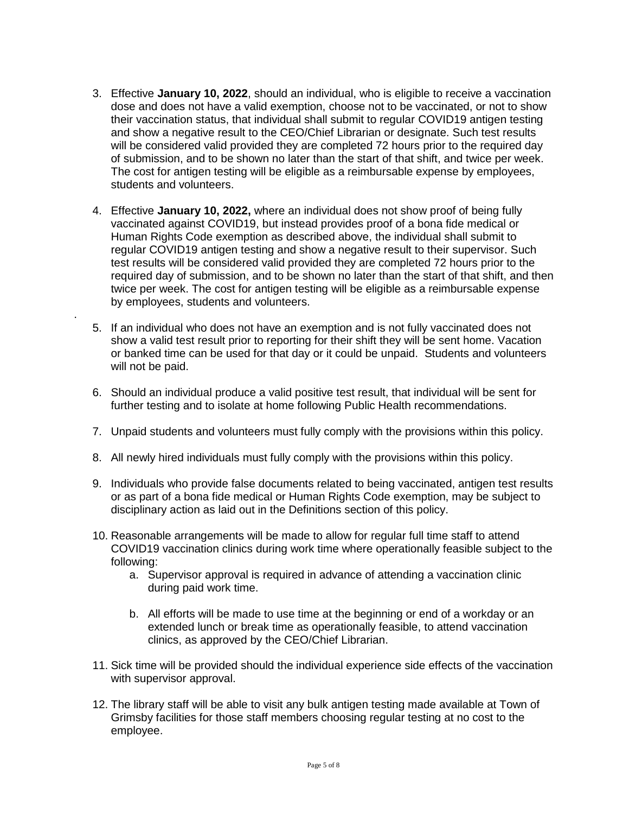- 3. Effective **January 10, 2022**, should an individual, who is eligible to receive a vaccination dose and does not have a valid exemption, choose not to be vaccinated, or not to show their vaccination status, that individual shall submit to regular COVID19 antigen testing and show a negative result to the CEO/Chief Librarian or designate. Such test results will be considered valid provided they are completed 72 hours prior to the required day of submission, and to be shown no later than the start of that shift, and twice per week. The cost for antigen testing will be eligible as a reimbursable expense by employees, students and volunteers.
- 4. Effective **January 10, 2022,** where an individual does not show proof of being fully vaccinated against COVID19, but instead provides proof of a bona fide medical or Human Rights Code exemption as described above, the individual shall submit to regular COVID19 antigen testing and show a negative result to their supervisor. Such test results will be considered valid provided they are completed 72 hours prior to the required day of submission, and to be shown no later than the start of that shift, and then twice per week. The cost for antigen testing will be eligible as a reimbursable expense by employees, students and volunteers.<br>.
	- 5. If an individual who does not have an exemption and is not fully vaccinated does not show a valid test result prior to reporting for their shift they will be sent home. Vacation or banked time can be used for that day or it could be unpaid. Students and volunteers will not be paid.
	- 6. Should an individual produce a valid positive test result, that individual will be sent for further testing and to isolate at home following Public Health recommendations.
	- 7. Unpaid students and volunteers must fully comply with the provisions within this policy.
	- 8. All newly hired individuals must fully comply with the provisions within this policy.
	- 9. Individuals who provide false documents related to being vaccinated, antigen test results or as part of a bona fide medical or Human Rights Code exemption, may be subject to disciplinary action as laid out in the Definitions section of this policy.
	- 10. Reasonable arrangements will be made to allow for regular full time staff to attend COVID19 vaccination clinics during work time where operationally feasible subject to the following:
		- a. Supervisor approval is required in advance of attending a vaccination clinic during paid work time.
		- b. All efforts will be made to use time at the beginning or end of a workday or an extended lunch or break time as operationally feasible, to attend vaccination clinics, as approved by the CEO/Chief Librarian.
	- 11. Sick time will be provided should the individual experience side effects of the vaccination with supervisor approval.
	- 12. The library staff will be able to visit any bulk antigen testing made available at Town of Grimsby facilities for those staff members choosing regular testing at no cost to the employee.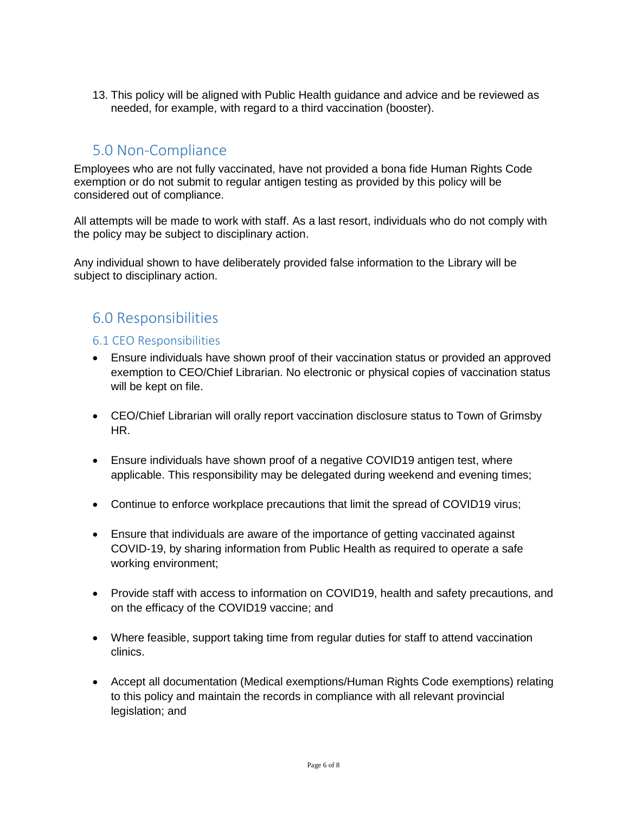13. This policy will be aligned with Public Health guidance and advice and be reviewed as needed, for example, with regard to a third vaccination (booster).

## <span id="page-5-0"></span>5.0 Non-Compliance

 Employees who are not fully vaccinated, have not provided a bona fide Human Rights Code exemption or do not submit to regular antigen testing as provided by this policy will be considered out of compliance.

 All attempts will be made to work with staff. As a last resort, individuals who do not comply with the policy may be subject to disciplinary action.

 Any individual shown to have deliberately provided false information to the Library will be subject to disciplinary action.

## <span id="page-5-1"></span>6.0 Responsibilities

#### <span id="page-5-2"></span>6.1 CEO Responsibilities

- Ensure individuals have shown proof of their vaccination status or provided an approved exemption to CEO/Chief Librarian. No electronic or physical copies of vaccination status will be kept on file.
- CEO/Chief Librarian will orally report vaccination disclosure status to Town of Grimsby HR.
- Ensure individuals have shown proof of a negative COVID19 antigen test, where applicable. This responsibility may be delegated during weekend and evening times;
- Continue to enforce workplace precautions that limit the spread of COVID19 virus;
- Ensure that individuals are aware of the importance of getting vaccinated against COVID-19, by sharing information from Public Health as required to operate a safe working environment;
- Provide staff with access to information on COVID19, health and safety precautions, and on the efficacy of the COVID19 vaccine; and
- Where feasible, support taking time from regular duties for staff to attend vaccination clinics.
- Accept all documentation (Medical exemptions/Human Rights Code exemptions) relating to this policy and maintain the records in compliance with all relevant provincial legislation; and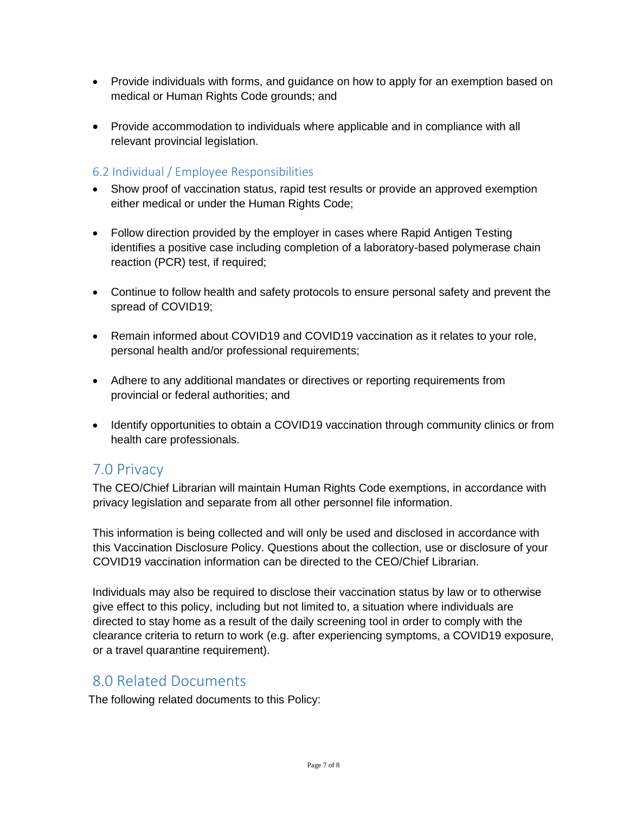- Provide individuals with forms, and guidance on how to apply for an exemption based on medical or Human Rights Code grounds; and
- relevant provincial legislation. Provide accommodation to individuals where applicable and in compliance with all

### <span id="page-6-0"></span>6.2 Individual / Employee Responsibilities

- Show proof of vaccination status, rapid test results or provide an approved exemption either medical or under the Human Rights Code;
- Follow direction provided by the employer in cases where Rapid Antigen Testing identifies a positive case including completion of a laboratory-based polymerase chain reaction (PCR) test, if required;
- Continue to follow health and safety protocols to ensure personal safety and prevent the spread of COVID19;
- Remain informed about COVID19 and COVID19 vaccination as it relates to your role, personal health and/or professional requirements;
- Adhere to any additional mandates or directives or reporting requirements from provincial or federal authorities; and
- Identify opportunities to obtain a COVID19 vaccination through community clinics or from health care professionals.

## <span id="page-6-1"></span>7.0 Privacy

 The CEO/Chief Librarian will maintain Human Rights Code exemptions, in accordance with privacy legislation and separate from all other personnel file information.

 This information is being collected and will only be used and disclosed in accordance with this Vaccination Disclosure Policy. Questions about the collection, use or disclosure of your COVID19 vaccination information can be directed to the CEO/Chief Librarian.

 Individuals may also be required to disclose their vaccination status by law or to otherwise give effect to this policy, including but not limited to, a situation where individuals are directed to stay home as a result of the daily screening tool in order to comply with the clearance criteria to return to work (e.g. after experiencing symptoms, a COVID19 exposure, or a travel quarantine requirement).

### <span id="page-6-2"></span>8.0 Related Documents

The following related documents to this Policy: